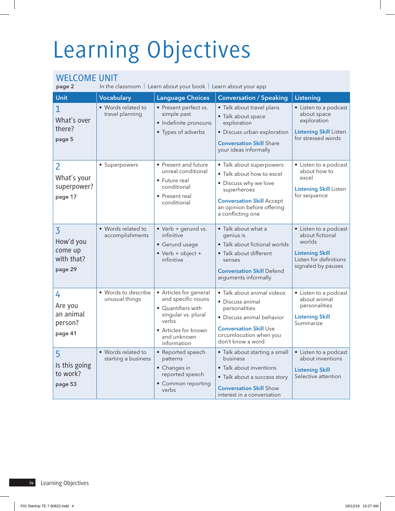## Learning Objectives

## WELCOME UNIT

In the classroom | Learn about your book | Learn about your app

| Unit                                                            | <b>Vocabulary</b>                         | <b>Language Choices</b>                                                                                                                                | <b>Conversation / Speaking</b>                                                                                                                                                       | Listening                                                                                                                    |
|-----------------------------------------------------------------|-------------------------------------------|--------------------------------------------------------------------------------------------------------------------------------------------------------|--------------------------------------------------------------------------------------------------------------------------------------------------------------------------------------|------------------------------------------------------------------------------------------------------------------------------|
| $\mathbf 1$<br>What's over<br>there?<br>page 5                  | • Words related to<br>travel planning     | • Present perfect vs.<br>simple past<br>· Indefinite pronouns<br>• Types of adverbs                                                                    | · Talk about travel plans<br>• Talk about space<br>exploration<br>· Discuss urban exploration<br><b>Conversation Skill Share</b><br>your ideas informally                            | • Listen to a podcast<br>about space<br>exploration<br><b>Listening Skill Listen</b><br>for stressed words                   |
| $\overline{2}$<br>What's your<br>superpower?<br>page 17         | • Superpowers                             | • Present and future<br>unreal conditional<br>• Future real<br>conditional<br>• Present real<br>conditional                                            | • Talk about superpowers<br>• Talk about how to excel<br>• Discuss why we love<br>superheroes<br><b>Conversation Skill Accept</b><br>an opinion before offering<br>a conflicting one | • Listen to a podcast<br>about how to<br>excel<br><b>Listening Skill Listen</b><br>for sequence                              |
| $\overline{3}$<br>How'd you<br>come up<br>with that?<br>page 29 | • Words related to<br>accomplishments     | • Verb + gerund vs.<br>infinitive<br>• Gerund usage<br>$\bullet$ Verb + object +<br>infinitive                                                         | • Talk about what a<br>genius is<br>• Talk about fictional worlds<br>· Talk about different<br>senses<br><b>Conversation Skill Defend</b><br>arguments informally                    | • Listen to a podcast<br>about fictional<br>worlds<br><b>Listening Skill</b><br>Listen for definitions<br>signaled by pauses |
| 4<br>Are you<br>an animal<br>person?<br>page 41                 | • Words to describe<br>unusual things     | Articles for general<br>and specific nouns<br>• Quantifiers with<br>singular vs. plural<br>verbs<br>• Articles for known<br>and unknown<br>information | · Talk about animal videos<br>• Discuss animal<br>personalities<br>· Discuss animal behavior<br><b>Conversation Skill Use</b><br>circumlocution when you<br>don't know a word        | • Listen to a podcast<br>about animal<br>personalities<br><b>Listening Skill</b><br>Summarize                                |
| 5<br>Is this going<br>to work?<br>page 53                       | • Words related to<br>starting a business | • Reported speech<br>patterns<br>• Changes in<br>reported speech<br>• Common reporting<br>verbs                                                        | • Talk about starting a small<br>business<br>• Talk about inventions<br>• Talk about a success story<br><b>Conversation Skill Show</b><br>interest in a conversation                 | • Listen to a podcast<br>about inventions<br><b>Listening Skill</b><br>Selective attention                                   |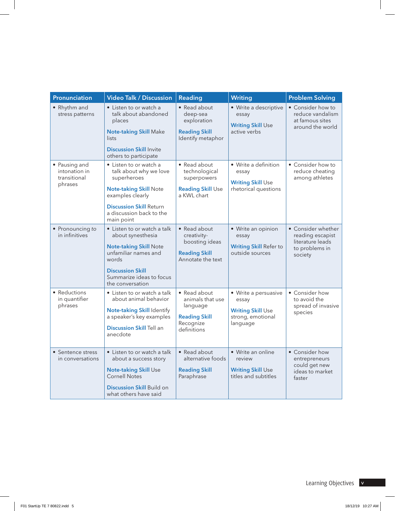| Pronunciation                                             | <b>Video Talk / Discussion</b>                                                                                                                                                                   | <b>Reading</b>                                                                                   | Writing                                                                                    | <b>Problem Solving</b>                                                                  |
|-----------------------------------------------------------|--------------------------------------------------------------------------------------------------------------------------------------------------------------------------------------------------|--------------------------------------------------------------------------------------------------|--------------------------------------------------------------------------------------------|-----------------------------------------------------------------------------------------|
| • Rhythm and<br>stress patterns                           | • Listen to or watch a<br>talk about abandoned<br>places<br><b>Note-taking Skill Make</b><br>lists<br><b>Discussion Skill Invite</b>                                                             | • Read about<br>deep-sea<br>exploration<br><b>Reading Skill</b><br>Identify metaphor             | • Write a descriptive<br>essay<br><b>Writing Skill Use</b><br>active verbs                 | • Consider how to<br>reduce vandalism<br>at famous sites<br>around the world            |
|                                                           | others to participate                                                                                                                                                                            |                                                                                                  |                                                                                            |                                                                                         |
| • Pausing and<br>intonation in<br>transitional<br>phrases | • Listen to or watch a<br>talk about why we love<br>superheroes<br><b>Note-taking Skill Note</b><br>examples clearly<br><b>Discussion Skill Return</b><br>a discussion back to the<br>main point | • Read about<br>technological<br>superpowers<br><b>Reading Skill Use</b><br>a KWL chart          | • Write a definition<br>essay<br><b>Writing Skill Use</b><br>rhetorical questions          | • Consider how to<br>reduce cheating<br>among athletes                                  |
| • Pronouncing to<br>in infinitives                        | • Listen to or watch a talk<br>about synesthesia<br><b>Note-taking Skill Note</b><br>unfamiliar names and<br>words<br><b>Discussion Skill</b><br>Summarize ideas to focus<br>the conversation    | • Read about<br>creativity-<br>boosting ideas<br><b>Reading Skill</b><br>Annotate the text       | • Write an opinion<br>essay<br><b>Writing Skill Refer to</b><br>outside sources            | • Consider whether<br>reading escapist<br>literature leads<br>to problems in<br>society |
| • Reductions<br>in quantifier<br>phrases                  | • Listen to or watch a talk<br>about animal behavior<br>Note-taking Skill Identify<br>a speaker's key examples<br><b>Discussion Skill Tell an</b><br>anecdote                                    | • Read about<br>animals that use<br>language<br><b>Reading Skill</b><br>Recognize<br>definitions | • Write a persuasive<br>essay<br><b>Writing Skill Use</b><br>strong, emotional<br>language | • Consider how<br>to avoid the<br>spread of invasive<br>species                         |
| • Sentence stress<br>in conversations                     | • Listen to or watch a talk<br>about a success story<br><b>Note-taking Skill Use</b><br><b>Cornell Notes</b><br>Discussion Skill Build on<br>what others have said                               | • Read about<br>alternative foods<br><b>Reading Skill</b><br>Paraphrase                          | • Write an online<br>review<br><b>Writing Skill Use</b><br>titles and subtitles            | • Consider how<br>entrepreneurs<br>could get new<br>ideas to market<br>faster           |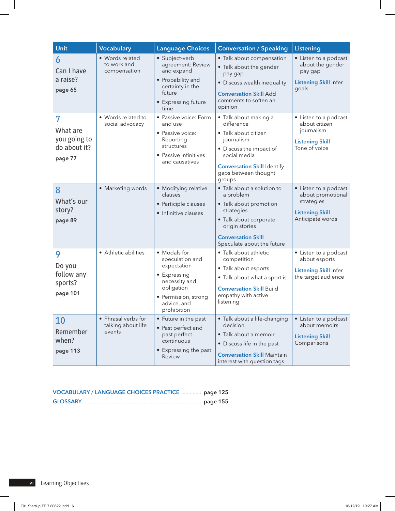| Unit                                                                  | <b>Vocabulary</b>                                   | <b>Language Choices</b>                                                                                                                             | <b>Conversation / Speaking</b>                                                                                                                                                                                 | Listening                                                                                              |
|-----------------------------------------------------------------------|-----------------------------------------------------|-----------------------------------------------------------------------------------------------------------------------------------------------------|----------------------------------------------------------------------------------------------------------------------------------------------------------------------------------------------------------------|--------------------------------------------------------------------------------------------------------|
| 6<br>Can I have<br>a raise?<br>page 65                                | • Words related<br>to work and<br>compensation      | · Subject-verb<br>agreement: Review<br>and expand<br>• Probability and<br>certainty in the<br>future<br>• Expressing future<br>time                 | • Talk about compensation<br>• Talk about the gender<br>pay gap<br>• Discuss wealth inequality<br><b>Conversation Skill Add</b><br>comments to soften an<br>opinion                                            | • Listen to a podcast<br>about the gender<br>pay gap<br><b>Listening Skill Infer</b><br>goals          |
| $\overline{7}$<br>What are<br>you going to<br>do about it?<br>page 77 | • Words related to<br>social advocacy               | • Passive voice: Form<br>and use<br>• Passive voice:<br>Reporting<br>structures<br>• Passive infinitives<br>and causatives                          | · Talk about making a<br>difference<br>· Talk about citizen<br>journalism<br>• Discuss the impact of<br>social media<br><b>Conversation Skill Identify</b><br>gaps between thought<br>groups                   | • Listen to a podcast<br>about citizen<br>journalism<br><b>Listening Skill</b><br>Tone of voice        |
| $\overline{8}$<br>What's our<br>story?<br>page 89                     | · Marketing words                                   | • Modifying relative<br>clauses<br>• Participle clauses<br>• Infinitive clauses                                                                     | • Talk about a solution to<br>a problem<br>• Talk about promotion<br>strategies<br>• Talk about corporate<br>origin stories<br><b>Conversation Skill</b><br>Speculate about the future                         | • Listen to a podcast<br>about promotional<br>strategies<br><b>Listening Skill</b><br>Anticipate words |
| 9<br>Do you<br>follow any<br>sports?<br>page 101                      | • Athletic abilities                                | • Modals for<br>speculation and<br>expectation<br>• Expressing<br>necessity and<br>obligation<br>• Permission, strong<br>advice, and<br>prohibition | • Talk about athletic<br>competition<br>• Talk about esports<br>• Talk about what a sport is<br><b>Conversation Skill Build</b><br>empathy with active<br>listening                                            | • Listen to a podcast<br>about esports<br><b>Listening Skill Infer</b><br>the target audience          |
| 10<br>Remember<br>when?<br>page 113                                   | • Phrasal verbs for<br>talking about life<br>events | $\bullet$ Future in the past<br>• Past perfect and<br>past perfect<br>continuous<br>• Expressing the past:<br>Review                                | • Talk about a life-changing $\vert \bullet \vert$ Listen to a podcast<br>decision<br>· Talk about a memoir<br>• Discuss life in the past<br><b>Conversation Skill Maintain</b><br>interest with question tags | about memoirs<br><b>Listening Skill</b><br>Comparisons                                                 |

| VOCABULARY / LANGUAGE CHOICES PRACTICE  page 125 |  |
|--------------------------------------------------|--|
|                                                  |  |